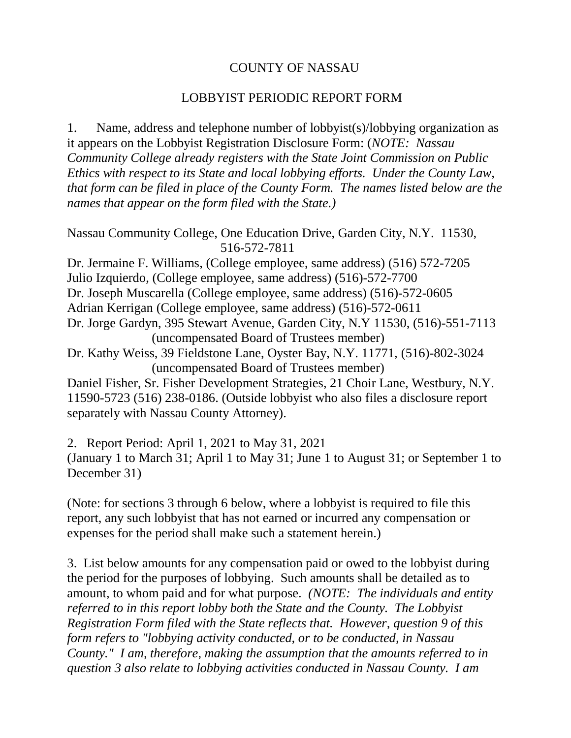## COUNTY OF NASSAU

## LOBBYIST PERIODIC REPORT FORM

1. Name, address and telephone number of lobbyist(s)/lobbying organization as it appears on the Lobbyist Registration Disclosure Form: (*NOTE: Nassau Community College already registers with the State Joint Commission on Public Ethics with respect to its State and local lobbying efforts. Under the County Law, that form can be filed in place of the County Form. The names listed below are the names that appear on the form filed with the State.)*

Nassau Community College, One Education Drive, Garden City, N.Y. 11530, 516-572-7811

Dr. Jermaine F. Williams, (College employee, same address) (516) 572-7205 Julio Izquierdo, (College employee, same address) (516)-572-7700 Dr. Joseph Muscarella (College employee, same address) (516)-572-0605 Adrian Kerrigan (College employee, same address) (516)-572-0611 Dr. Jorge Gardyn, 395 Stewart Avenue, Garden City, N.Y 11530, (516)-551-7113 (uncompensated Board of Trustees member)

Dr. Kathy Weiss, 39 Fieldstone Lane, Oyster Bay, N.Y. 11771, (516)-802-3024 (uncompensated Board of Trustees member)

Daniel Fisher, Sr. Fisher Development Strategies, 21 Choir Lane, Westbury, N.Y. 11590-5723 (516) 238-0186. (Outside lobbyist who also files a disclosure report separately with Nassau County Attorney).

2. Report Period: April 1, 2021 to May 31, 2021

(January 1 to March 31; April 1 to May 31; June 1 to August 31; or September 1 to December 31)

(Note: for sections 3 through 6 below, where a lobbyist is required to file this report, any such lobbyist that has not earned or incurred any compensation or expenses for the period shall make such a statement herein.)

3. List below amounts for any compensation paid or owed to the lobbyist during the period for the purposes of lobbying. Such amounts shall be detailed as to amount, to whom paid and for what purpose. *(NOTE: The individuals and entity referred to in this report lobby both the State and the County. The Lobbyist Registration Form filed with the State reflects that. However, question 9 of this form refers to "lobbying activity conducted, or to be conducted, in Nassau County." I am, therefore, making the assumption that the amounts referred to in question 3 also relate to lobbying activities conducted in Nassau County. I am*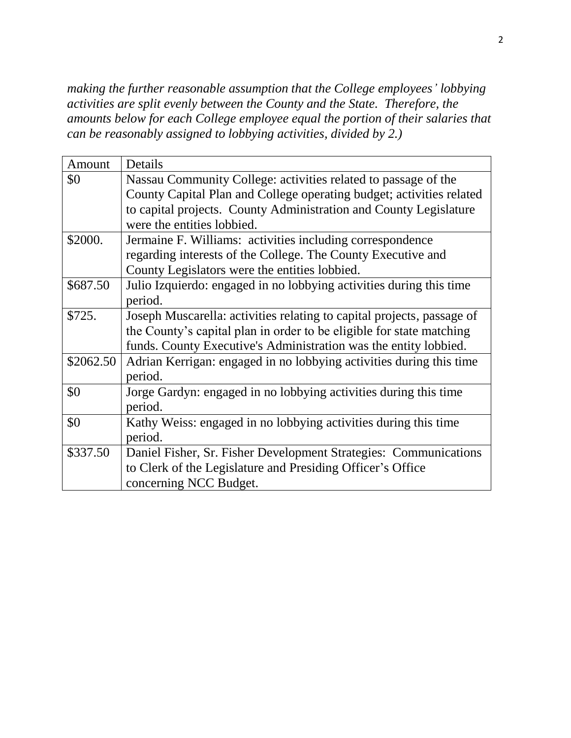*making the further reasonable assumption that the College employees' lobbying activities are split evenly between the County and the State. Therefore, the amounts below for each College employee equal the portion of their salaries that can be reasonably assigned to lobbying activities, divided by 2.)*

| Amount    | Details                                                                |  |  |
|-----------|------------------------------------------------------------------------|--|--|
| \$0       | Nassau Community College: activities related to passage of the         |  |  |
|           | County Capital Plan and College operating budget; activities related   |  |  |
|           | to capital projects. County Administration and County Legislature      |  |  |
|           | were the entities lobbied.                                             |  |  |
| \$2000.   | Jermaine F. Williams: activities including correspondence              |  |  |
|           | regarding interests of the College. The County Executive and           |  |  |
|           | County Legislators were the entities lobbied.                          |  |  |
| \$687.50  | Julio Izquierdo: engaged in no lobbying activities during this time    |  |  |
|           | period.                                                                |  |  |
| \$725.    | Joseph Muscarella: activities relating to capital projects, passage of |  |  |
|           | the County's capital plan in order to be eligible for state matching   |  |  |
|           | funds. County Executive's Administration was the entity lobbied.       |  |  |
| \$2062.50 | Adrian Kerrigan: engaged in no lobbying activities during this time    |  |  |
|           | period.                                                                |  |  |
| \$0       | Jorge Gardyn: engaged in no lobbying activities during this time       |  |  |
|           | period.                                                                |  |  |
| \$0       | Kathy Weiss: engaged in no lobbying activities during this time        |  |  |
|           | period.                                                                |  |  |
| \$337.50  | Daniel Fisher, Sr. Fisher Development Strategies: Communications       |  |  |
|           | to Clerk of the Legislature and Presiding Officer's Office             |  |  |
|           | concerning NCC Budget.                                                 |  |  |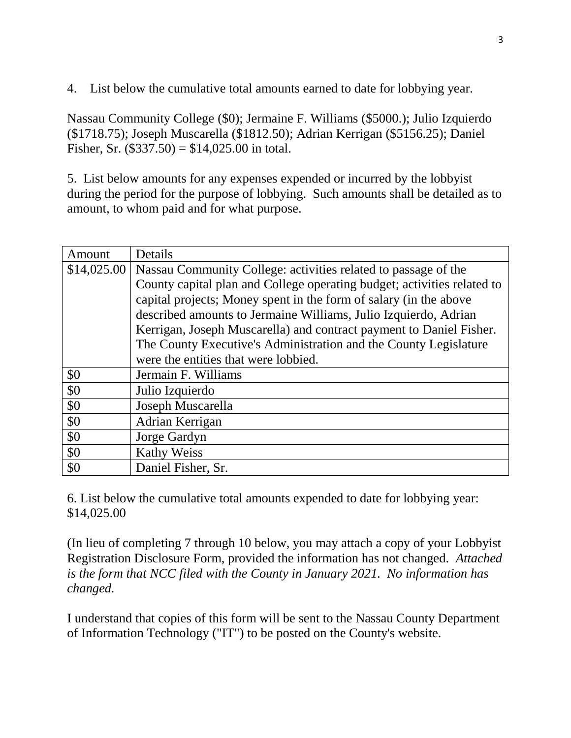4. List below the cumulative total amounts earned to date for lobbying year.

Nassau Community College (\$0); Jermaine F. Williams (\$5000.); Julio Izquierdo (\$1718.75); Joseph Muscarella (\$1812.50); Adrian Kerrigan (\$5156.25); Daniel Fisher, Sr.  $(\$337.50) = \$14,025.00$  in total.

5. List below amounts for any expenses expended or incurred by the lobbyist during the period for the purpose of lobbying. Such amounts shall be detailed as to amount, to whom paid and for what purpose.

| Amount      | Details                                                                 |  |  |  |
|-------------|-------------------------------------------------------------------------|--|--|--|
| \$14,025.00 | Nassau Community College: activities related to passage of the          |  |  |  |
|             | County capital plan and College operating budget; activities related to |  |  |  |
|             | capital projects; Money spent in the form of salary (in the above       |  |  |  |
|             | described amounts to Jermaine Williams, Julio Izquierdo, Adrian         |  |  |  |
|             | Kerrigan, Joseph Muscarella) and contract payment to Daniel Fisher.     |  |  |  |
|             | The County Executive's Administration and the County Legislature        |  |  |  |
|             | were the entities that were lobbied.                                    |  |  |  |
| \$0         | Jermain F. Williams                                                     |  |  |  |
| \$0         | Julio Izquierdo                                                         |  |  |  |
| \$0         | Joseph Muscarella                                                       |  |  |  |
| \$0         | Adrian Kerrigan                                                         |  |  |  |
| \$0         | Jorge Gardyn                                                            |  |  |  |
| \$0         | <b>Kathy Weiss</b>                                                      |  |  |  |
| \$0         | Daniel Fisher, Sr.                                                      |  |  |  |

6. List below the cumulative total amounts expended to date for lobbying year: \$14,025.00

(In lieu of completing 7 through 10 below, you may attach a copy of your Lobbyist Registration Disclosure Form, provided the information has not changed. *Attached is the form that NCC filed with the County in January 2021. No information has changed.*

I understand that copies of this form will be sent to the Nassau County Department of Information Technology ("IT") to be posted on the County's website.